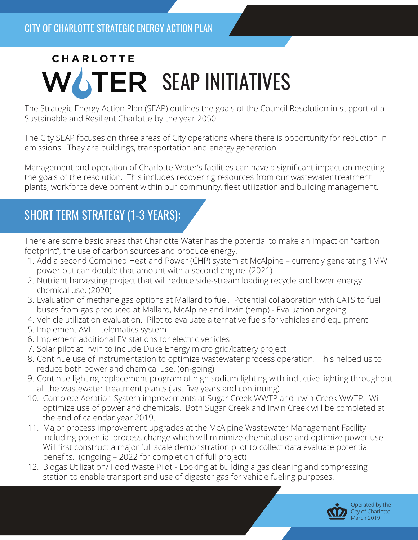## **CHARLOTTE** WOTER SEAP INITIATIVES

The Strategic Energy Action Plan (SEAP) outlines the goals of the Council Resolution in support of a Sustainable and Resilient Charlotte by the year 2050.

The City SEAP focuses on three areas of City operations where there is opportunity for reduction in emissions. They are buildings, transportation and energy generation.

Management and operation of Charlotte Water's facilities can have a significant impact on meeting the goals of the resolution. This includes recovering resources from our wastewater treatment plants, workforce development within our community, fleet utilization and building management.

## SHORT TERM STRATEGY (1-3 YEARS):

There are some basic areas that Charlotte Water has the potential to make an impact on "carbon footprint", the use of carbon sources and produce energy.

- 1. Add a second Combined Heat and Power (CHP) system at McAlpine currently generating 1MW power but can double that amount with a second engine. (2021)
- 2. Nutrient harvesting project that will reduce side-stream loading recycle and lower energy chemical use. (2020)
- 3. Evaluation of methane gas options at Mallard to fuel. Potential collaboration with CATS to fuel buses from gas produced at Mallard, McAlpine and Irwin (temp) - Evaluation ongoing.
- 4. Vehicle utilization evaluation. Pilot to evaluate alternative fuels for vehicles and equipment.
- 5. Implement AVL telematics system
- 6. Implement additional EV stations for electric vehicles
- 7. Solar pilot at Irwin to include Duke Energy micro grid/battery project
- 8. Continue use of instrumentation to optimize wastewater process operation. This helped us to reduce both power and chemical use. (on-going)
- 9. Continue lighting replacement program of high sodium lighting with inductive lighting throughout all the wastewater treatment plants (last five years and continuing)
- 10. Complete Aeration System improvements at Sugar Creek WWTP and Irwin Creek WWTP. Will optimize use of power and chemicals. Both Sugar Creek and Irwin Creek will be completed at the end of calendar year 2019.
- 11. Major process improvement upgrades at the McAlpine Wastewater Management Facility including potential process change which will minimize chemical use and optimize power use. Will first construct a major full scale demonstration pilot to collect data evaluate potential benefits. (ongoing – 2022 for completion of full project)
- 12. Biogas Utilization/ Food Waste Pilot Looking at building a gas cleaning and compressing station to enable transport and use of digester gas for vehicle fueling purposes.